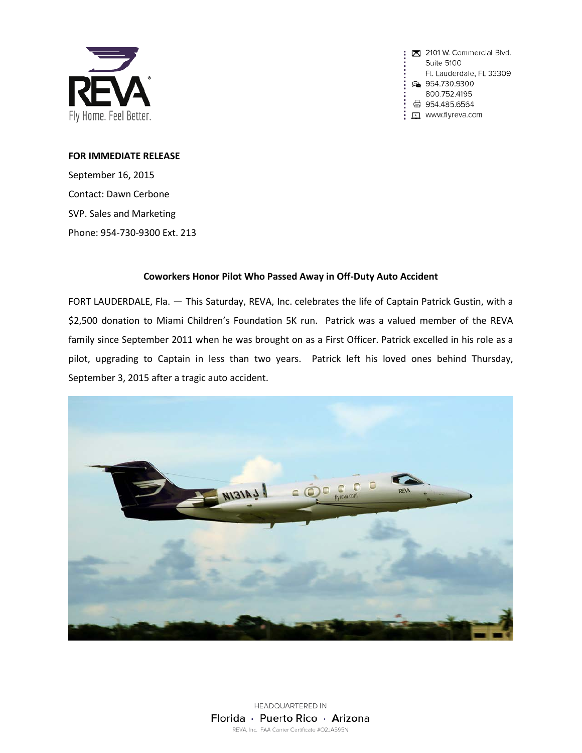

2101 W. Commercial Blvd. Suite 5100 Ft. Lauderdale, FL 33309 954.730.9300 800.752.4195 ☆ 954.485.6564 <u>口</u> www.flyreva.com

## **FOR IMMEDIATE RELEASE**

September 16, 2015 Contact: Dawn Cerbone SVP. Sales and Marketing Phone: 954-730-9300 Ext. 213

## **Coworkers Honor Pilot Who Passed Away in Off-Duty Auto Accident**

FORT LAUDERDALE, Fla. — This Saturday, REVA, Inc. celebrates the life of Captain Patrick Gustin, with a \$2,500 donation to Miami Children's Foundation 5K run. Patrick was a valued member of the REVA family since September 2011 when he was brought on as a First Officer. Patrick excelled in his role as a pilot, upgrading to Captain in less than two years. Patrick left his loved ones behind Thursday, September 3, 2015 after a tragic auto accident.



HEADQUARTERED IN Florida · Puerto Rico · Arizona REVA, Inc. FAA Carrier Certificate #O2JA595N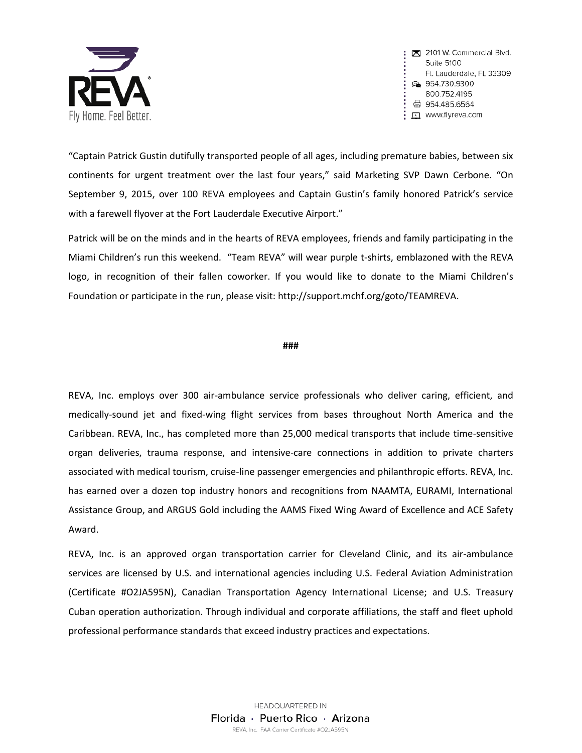

: x 2101 W. Commercial Blvd. Suite 5100 Ft. Lauderdale, FL 33309 ⊕ 954.730.9300 800.752.4195 ☆ 954.485.6564 口 www.flyreva.com

"Captain Patrick Gustin dutifully transported people of all ages, including premature babies, between six continents for urgent treatment over the last four years," said Marketing SVP Dawn Cerbone. "On September 9, 2015, over 100 REVA employees and Captain Gustin's family honored Patrick's service with a farewell flyover at the Fort Lauderdale Executive Airport."

Patrick will be on the minds and in the hearts of REVA employees, friends and family participating in the Miami Children's run this weekend. "Team REVA" will wear purple t-shirts, emblazoned with the REVA logo, in recognition of their fallen coworker. If you would like to donate to the Miami Children's Foundation or participate in the run, please visit: http://support.mchf.org/goto/TEAMREVA.

## **###**

REVA, Inc. employs over 300 air-ambulance service professionals who deliver caring, efficient, and medically-sound jet and fixed-wing flight services from bases throughout North America and the Caribbean. REVA, Inc., has completed more than 25,000 medical transports that include time-sensitive organ deliveries, trauma response, and intensive-care connections in addition to private charters associated with medical tourism, cruise-line passenger emergencies and philanthropic efforts. REVA, Inc. has earned over a dozen top industry honors and recognitions from NAAMTA, EURAMI, International Assistance Group, and ARGUS Gold including the AAMS Fixed Wing Award of Excellence and ACE Safety Award.

REVA, Inc. is an approved organ transportation carrier for Cleveland Clinic, and its air-ambulance services are licensed by U.S. and international agencies including U.S. Federal Aviation Administration (Certificate #O2JA595N), Canadian Transportation Agency International License; and U.S. Treasury Cuban operation authorization. Through individual and corporate affiliations, the staff and fleet uphold professional performance standards that exceed industry practices and expectations.